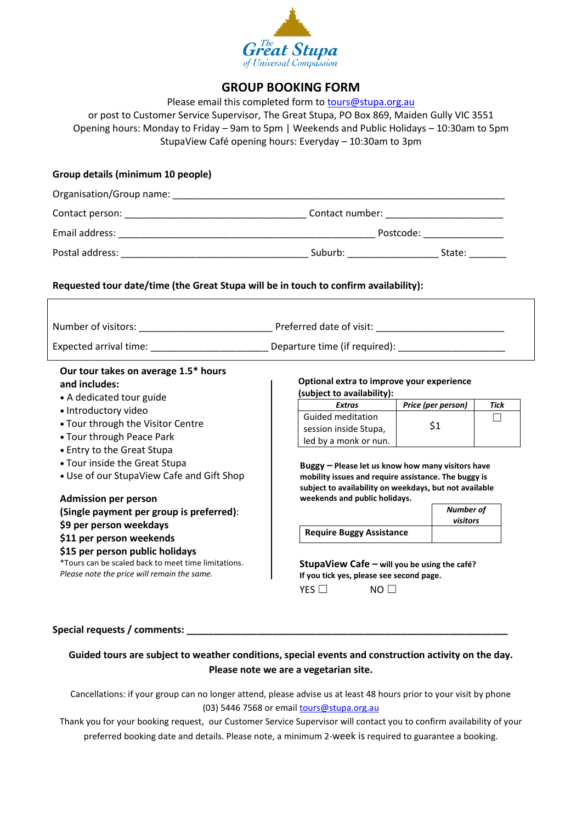

## **GROUP BOOKING FORM**

| (subject to availability):<br>Extras<br>Guided meditation                                                                                                                                                                     | Price (per person)<br>\$1 | Tick<br>$\perp$                                                                                                                                                                                                                                                                                                                                                                            |  |  |
|-------------------------------------------------------------------------------------------------------------------------------------------------------------------------------------------------------------------------------|---------------------------|--------------------------------------------------------------------------------------------------------------------------------------------------------------------------------------------------------------------------------------------------------------------------------------------------------------------------------------------------------------------------------------------|--|--|
| led by a monk or nun.<br>Buggy - Please let us know how many visitors have<br>mobility issues and require assistance. The buggy is<br>subject to availability on weekdays, but not available<br>weekends and public holidays. |                           |                                                                                                                                                                                                                                                                                                                                                                                            |  |  |
| Number of<br>visitors<br><b>Require Buggy Assistance</b><br>StupaView Cafe - will you be using the café?<br>If you tick yes, please see second page.<br>YES $\Box$<br>$NO$ $\Box$                                             |                           |                                                                                                                                                                                                                                                                                                                                                                                            |  |  |
|                                                                                                                                                                                                                               | session inside Stupa,     | or post to Customer Service Supervisor, The Great Stupa, PO Box 869, Maiden Gully VIC 3551<br>Opening hours: Monday to Friday - 9am to 5pm   Weekends and Public Holidays - 10:30am to 5pm<br>StupaView Café opening hours: Everyday - 10:30am to 3pm<br>Requested tour date/time (the Great Stupa will be in touch to confirm availability):<br>Optional extra to improve your experience |  |  |

Cancellations: if your group can no longer attend, please advise us at least 48 hours prior to your visit by phone (03) 5446 7568 or emai[l tours@stupa.org.au](mailto:info@stupa.org.au)

**Please note we are a vegetarian site.**

Thank you for your booking request, our Customer Service Supervisor will contact you to confirm availability of your preferred booking date and details. Please note, a minimum 2-week is required to guarantee a booking.